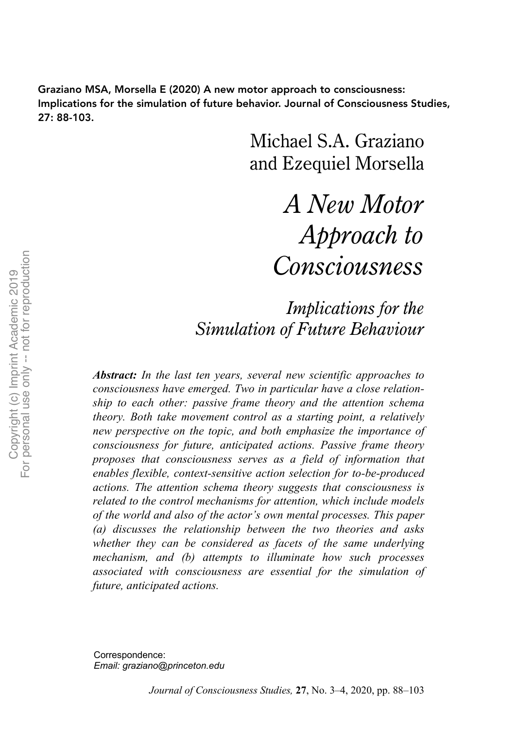Graziano MSA, Morsella E (2020) A new motor approach to consciousness: Implications for the simulation of future behavior. Journal of Consciousness Studies, 27: 88-103.

> Michael S.A. Graziano and Ezequiel Morsella

> > *A New Motor Approach to Consciousness*

*Implications for the Simulation of Future Behaviour*

*Abstract: In the last ten years, several new scientific approaches to consciousness have emerged. Two in particular have a close relationship to each other: passive frame theory and the attention schema theory. Both take movement control as a starting point, a relatively new perspective on the topic, and both emphasize the importance of consciousness for future, anticipated actions. Passive frame theory proposes that consciousness serves as a field of information that enables flexible, context-sensitive action selection for to-be-produced actions. The attention schema theory suggests that consciousness is related to the control mechanisms for attention, which include models of the world and also of the actor's own mental processes. This paper (a) discusses the relationship between the two theories and asks whether they can be considered as facets of the same underlying mechanism, and (b) attempts to illuminate how such processes associated with consciousness are essential for the simulation of future, anticipated actions.*

Correspondence: *Email: graziano@princeton.edu*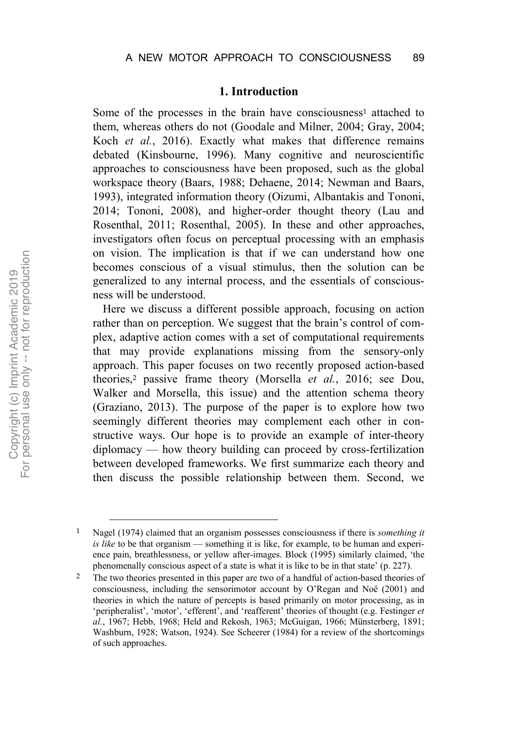#### **1. Introduction**

Some of the processes in the brain have consciousness<sup>1</sup> attached to them, whereas others do not (Goodale and Milner, 2004; Gray, 2004; Koch *et al.*, 2016). Exactly what makes that difference remains debated (Kinsbourne, 1996). Many cognitive and neuroscientific approaches to consciousness have been proposed, such as the global workspace theory (Baars, 1988; Dehaene, 2014; Newman and Baars, 1993), integrated information theory (Oizumi, Albantakis and Tononi, 2014; Tononi, 2008), and higher-order thought theory (Lau and Rosenthal, 2011; Rosenthal, 2005). In these and other approaches, investigators often focus on perceptual processing with an emphasis on vision. The implication is that if we can understand how one becomes conscious of a visual stimulus, then the solution can be generalized to any internal process, and the essentials of consciousness will be understood.

Here we discuss a different possible approach, focusing on action rather than on perception. We suggest that the brain's control of complex, adaptive action comes with a set of computational requirements that may provide explanations missing from the sensory-only approach. This paper focuses on two recently proposed action-based theories,<sup>2</sup> passive frame theory (Morsella *et al.*, 2016; see Dou, Walker and Morsella, this issue) and the attention schema theory (Graziano, 2013). The purpose of the paper is to explore how two seemingly different theories may complement each other in constructive ways. Our hope is to provide an example of inter-theory diplomacy — how theory building can proceed by cross-fertilization between developed frameworks. We first summarize each theory and then discuss the possible relationship between them. Second, we

 <sup>1</sup> Nagel (1974) claimed that an organism possesses consciousness if there is *something it is like* to be that organism — something it is like, for example, to be human and experience pain, breathlessness, or yellow after-images. Block (1995) similarly claimed, 'the phenomenally conscious aspect of a state is what it is like to be in that state' (p. 227).

<sup>2</sup> The two theories presented in this paper are two of a handful of action-based theories of consciousness, including the sensorimotor account by O'Regan and Noë (2001) and theories in which the nature of percepts is based primarily on motor processing, as in 'peripheralist', 'motor', 'efferent', and 'reafferent' theories of thought (e.g. Festinger *et al.*, 1967; Hebb, 1968; Held and Rekosh, 1963; McGuigan, 1966; Münsterberg, 1891; Washburn, 1928; Watson, 1924). See Scheerer (1984) for a review of the shortcomings of such approaches.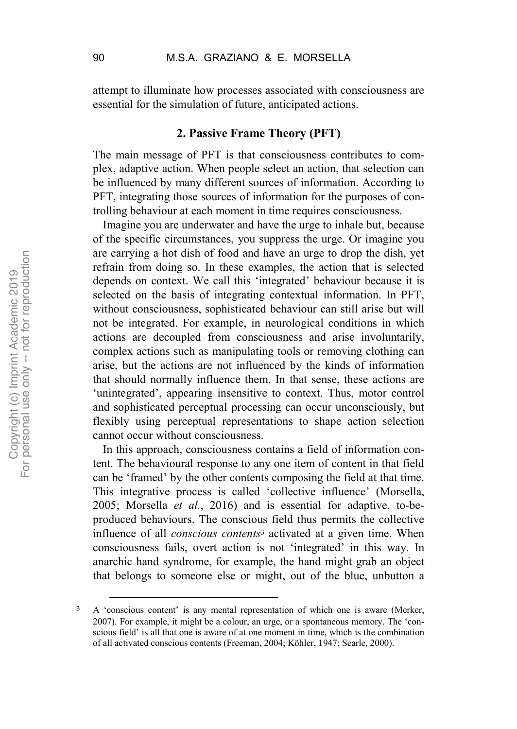attempt to illuminate how processes associated with consciousness are essential for the simulation of future, anticipated actions.

# **2. Passive Frame Theory (PFT)**

The main message of PFT is that consciousness contributes to complex, adaptive action. When people select an action, that selection can be influenced by many different sources of information. According to PFT, integrating those sources of information for the purposes of controlling behaviour at each moment in time requires consciousness.

Imagine you are underwater and have the urge to inhale but, because of the specific circumstances, you suppress the urge. Or imagine you are carrying a hot dish of food and have an urge to drop the dish, yet refrain from doing so. In these examples, the action that is selected depends on context. We call this 'integrated' behaviour because it is selected on the basis of integrating contextual information. In PFT, without consciousness, sophisticated behaviour can still arise but will not be integrated. For example, in neurological conditions in which actions are decoupled from consciousness and arise involuntarily, complex actions such as manipulating tools or removing clothing can arise, but the actions are not influenced by the kinds of information that should normally influence them. In that sense, these actions are 'unintegrated', appearing insensitive to context. Thus, motor control and sophisticated perceptual processing can occur unconsciously, but flexibly using perceptual representations to shape action selection cannot occur without consciousness.

In this approach, consciousness contains a field of information content. The behavioural response to any one item of content in that field can be 'framed' by the other contents composing the field at that time. This integrative process is called 'collective influence' (Morsella, 2005; Morsella *et al.*, 2016) and is essential for adaptive, to-beproduced behaviours. The conscious field thus permits the collective influence of all *conscious contents*<sup>3</sup> activated at a given time. When consciousness fails, overt action is not 'integrated' in this way. In anarchic hand syndrome, for example, the hand might grab an object that belongs to someone else or might, out of the blue, unbutton a

 <sup>3</sup> A 'conscious content' is any mental representation of which one is aware (Merker, 2007). For example, it might be a colour, an urge, or a spontaneous memory. The 'conscious field' is all that one is aware of at one moment in time, which is the combination of all activated conscious contents (Freeman, 2004; Köhler, 1947; Searle, 2000).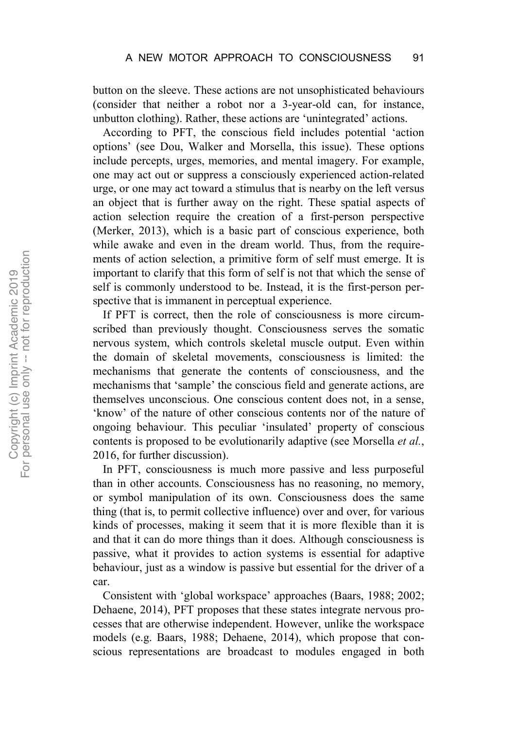button on the sleeve. These actions are not unsophisticated behaviours (consider that neither a robot nor a 3-year-old can, for instance, unbutton clothing). Rather, these actions are 'unintegrated' actions.

According to PFT, the conscious field includes potential 'action options' (see Dou, Walker and Morsella, this issue). These options include percepts, urges, memories, and mental imagery. For example, one may act out or suppress a consciously experienced action-related urge, or one may act toward a stimulus that is nearby on the left versus an object that is further away on the right. These spatial aspects of action selection require the creation of a first-person perspective (Merker, 2013), which is a basic part of conscious experience, both while awake and even in the dream world. Thus, from the requirements of action selection, a primitive form of self must emerge. It is important to clarify that this form of self is not that which the sense of self is commonly understood to be. Instead, it is the first-person perspective that is immanent in perceptual experience.

If PFT is correct, then the role of consciousness is more circumscribed than previously thought. Consciousness serves the somatic nervous system, which controls skeletal muscle output. Even within the domain of skeletal movements, consciousness is limited: the mechanisms that generate the contents of consciousness, and the mechanisms that 'sample' the conscious field and generate actions, are themselves unconscious. One conscious content does not, in a sense, 'know' of the nature of other conscious contents nor of the nature of ongoing behaviour. This peculiar 'insulated' property of conscious contents is proposed to be evolutionarily adaptive (see Morsella *et al.*, 2016, for further discussion).

In PFT, consciousness is much more passive and less purposeful than in other accounts. Consciousness has no reasoning, no memory, or symbol manipulation of its own. Consciousness does the same thing (that is, to permit collective influence) over and over, for various kinds of processes, making it seem that it is more flexible than it is and that it can do more things than it does. Although consciousness is passive, what it provides to action systems is essential for adaptive behaviour, just as a window is passive but essential for the driver of a car.

Consistent with 'global workspace' approaches (Baars, 1988; 2002; Dehaene, 2014), PFT proposes that these states integrate nervous processes that are otherwise independent. However, unlike the workspace models (e.g. Baars, 1988; Dehaene, 2014), which propose that conscious representations are broadcast to modules engaged in both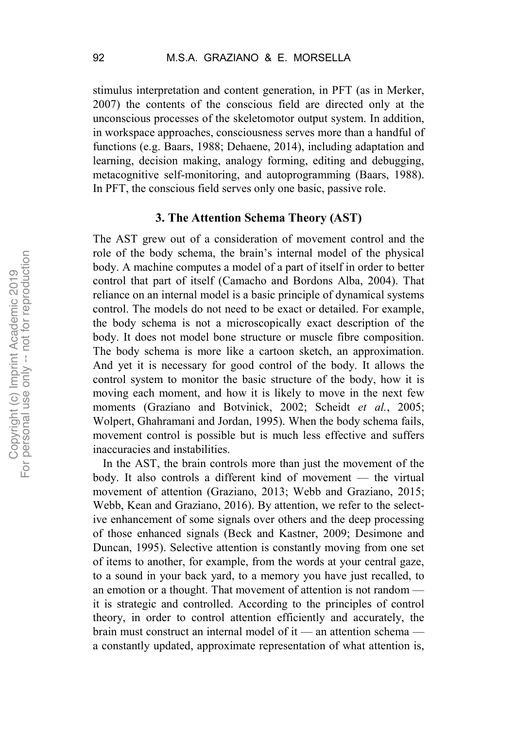stimulus interpretation and content generation, in PFT (as in Merker, 2007) the contents of the conscious field are directed only at the unconscious processes of the skeletomotor output system. In addition, in workspace approaches, consciousness serves more than a handful of functions (e.g. Baars, 1988; Dehaene, 2014), including adaptation and learning, decision making, analogy forming, editing and debugging, metacognitive self-monitoring, and autoprogramming (Baars, 1988). In PFT, the conscious field serves only one basic, passive role.

### **3. The Attention Schema Theory (AST)**

The AST grew out of a consideration of movement control and the role of the body schema, the brain's internal model of the physical body. A machine computes a model of a part of itself in order to better control that part of itself (Camacho and Bordons Alba, 2004). That reliance on an internal model is a basic principle of dynamical systems control. The models do not need to be exact or detailed. For example, the body schema is not a microscopically exact description of the body. It does not model bone structure or muscle fibre composition. The body schema is more like a cartoon sketch, an approximation. And yet it is necessary for good control of the body. It allows the control system to monitor the basic structure of the body, how it is moving each moment, and how it is likely to move in the next few moments (Graziano and Botvinick, 2002; Scheidt *et al.*, 2005; Wolpert, Ghahramani and Jordan, 1995). When the body schema fails, movement control is possible but is much less effective and suffers inaccuracies and instabilities.

In the AST, the brain controls more than just the movement of the body. It also controls a different kind of movement — the virtual movement of attention (Graziano, 2013; Webb and Graziano, 2015; Webb, Kean and Graziano, 2016). By attention, we refer to the selective enhancement of some signals over others and the deep processing of those enhanced signals (Beck and Kastner, 2009; Desimone and Duncan, 1995). Selective attention is constantly moving from one set of items to another, for example, from the words at your central gaze, to a sound in your back yard, to a memory you have just recalled, to an emotion or a thought. That movement of attention is not random it is strategic and controlled. According to the principles of control theory, in order to control attention efficiently and accurately, the brain must construct an internal model of it — an attention schema a constantly updated, approximate representation of what attention is,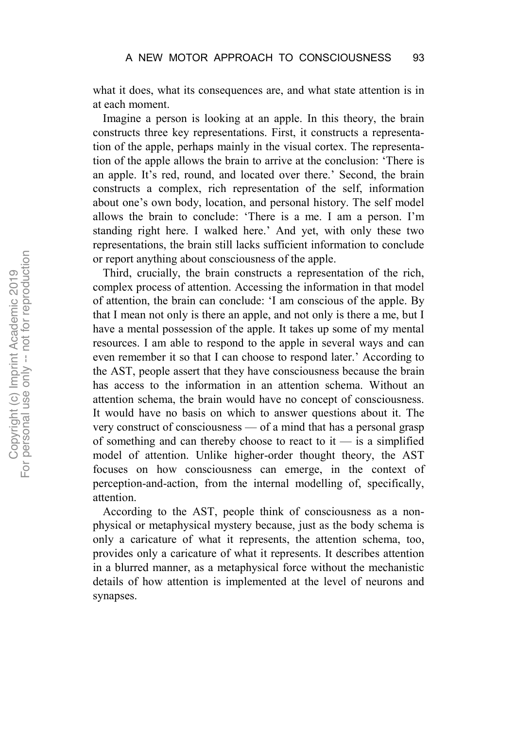what it does, what its consequences are, and what state attention is in at each moment.

Imagine a person is looking at an apple. In this theory, the brain constructs three key representations. First, it constructs a representation of the apple, perhaps mainly in the visual cortex. The representation of the apple allows the brain to arrive at the conclusion: 'There is an apple. It's red, round, and located over there.' Second, the brain constructs a complex, rich representation of the self, information about one's own body, location, and personal history. The self model allows the brain to conclude: 'There is a me. I am a person. I'm standing right here. I walked here.' And yet, with only these two representations, the brain still lacks sufficient information to conclude or report anything about consciousness of the apple.

Third, crucially, the brain constructs a representation of the rich, complex process of attention. Accessing the information in that model of attention, the brain can conclude: 'I am conscious of the apple. By that I mean not only is there an apple, and not only is there a me, but I have a mental possession of the apple. It takes up some of my mental resources. I am able to respond to the apple in several ways and can even remember it so that I can choose to respond later.' According to the AST, people assert that they have consciousness because the brain has access to the information in an attention schema. Without an attention schema, the brain would have no concept of consciousness. It would have no basis on which to answer questions about it. The very construct of consciousness — of a mind that has a personal grasp of something and can thereby choose to react to it  $-$  is a simplified model of attention. Unlike higher-order thought theory, the AST focuses on how consciousness can emerge, in the context of perception-and-action, from the internal modelling of, specifically, attention.

According to the AST, people think of consciousness as a nonphysical or metaphysical mystery because, just as the body schema is only a caricature of what it represents, the attention schema, too, provides only a caricature of what it represents. It describes attention in a blurred manner, as a metaphysical force without the mechanistic details of how attention is implemented at the level of neurons and synapses.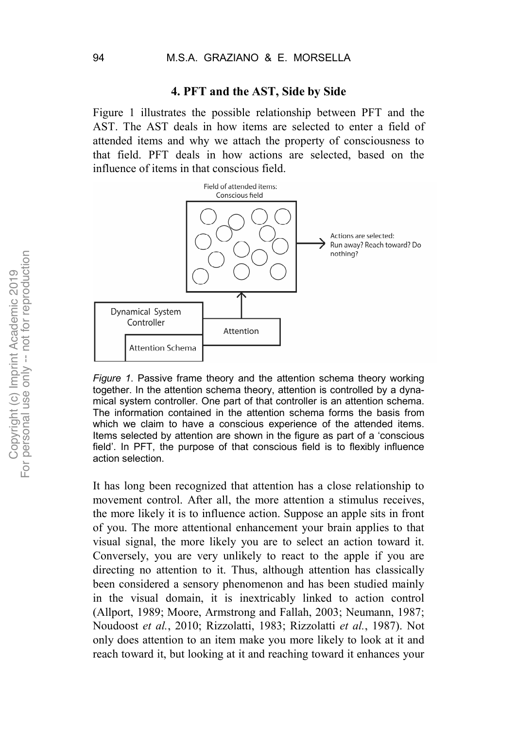#### **4. PFT and the AST, Side by Side**

Figure 1 illustrates the possible relationship between PFT and the AST. The AST deals in how items are selected to enter a field of attended items and why we attach the property of consciousness to that field. PFT deals in how actions are selected, based on the influence of items in that conscious field.



*Figure 1*. Passive frame theory and the attention schema theory working together. In the attention schema theory, attention is controlled by a dynamical system controller. One part of that controller is an attention schema. The information contained in the attention schema forms the basis from which we claim to have a conscious experience of the attended items. Items selected by attention are shown in the figure as part of a 'conscious field'. In PFT, the purpose of that conscious field is to flexibly influence action selection.

It has long been recognized that attention has a close relationship to movement control. After all, the more attention a stimulus receives, the more likely it is to influence action. Suppose an apple sits in front of you. The more attentional enhancement your brain applies to that visual signal, the more likely you are to select an action toward it. Conversely, you are very unlikely to react to the apple if you are directing no attention to it. Thus, although attention has classically been considered a sensory phenomenon and has been studied mainly in the visual domain, it is inextricably linked to action control (Allport, 1989; Moore, Armstrong and Fallah, 2003; Neumann, 1987; Noudoost *et al.*, 2010; Rizzolatti, 1983; Rizzolatti *et al.*, 1987). Not only does attention to an item make you more likely to look at it and reach toward it, but looking at it and reaching toward it enhances your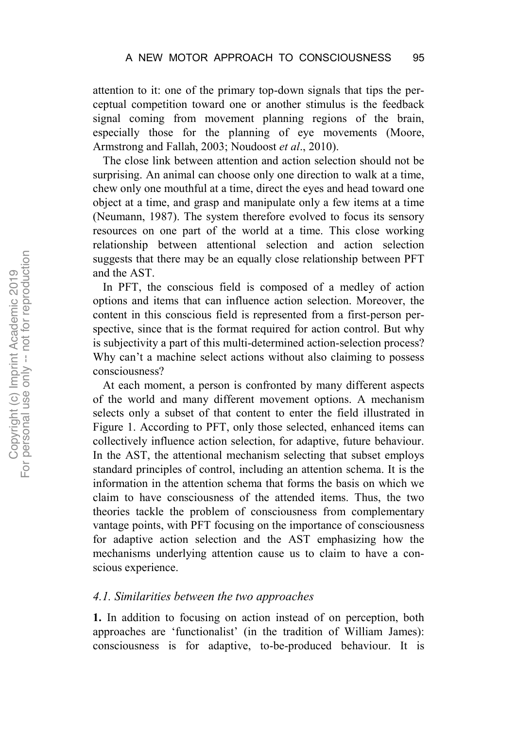attention to it: one of the primary top-down signals that tips the perceptual competition toward one or another stimulus is the feedback signal coming from movement planning regions of the brain, especially those for the planning of eye movements (Moore, Armstrong and Fallah, 2003; Noudoost *et al*., 2010).

The close link between attention and action selection should not be surprising. An animal can choose only one direction to walk at a time, chew only one mouthful at a time, direct the eyes and head toward one object at a time, and grasp and manipulate only a few items at a time (Neumann, 1987). The system therefore evolved to focus its sensory resources on one part of the world at a time. This close working relationship between attentional selection and action selection suggests that there may be an equally close relationship between PFT and the AST.

In PFT, the conscious field is composed of a medley of action options and items that can influence action selection. Moreover, the content in this conscious field is represented from a first-person perspective, since that is the format required for action control. But why is subjectivity a part of this multi-determined action-selection process? Why can't a machine select actions without also claiming to possess consciousness?

At each moment, a person is confronted by many different aspects of the world and many different movement options. A mechanism selects only a subset of that content to enter the field illustrated in Figure 1. According to PFT, only those selected, enhanced items can collectively influence action selection, for adaptive, future behaviour. In the AST, the attentional mechanism selecting that subset employs standard principles of control, including an attention schema. It is the information in the attention schema that forms the basis on which we claim to have consciousness of the attended items. Thus, the two theories tackle the problem of consciousness from complementary vantage points, with PFT focusing on the importance of consciousness for adaptive action selection and the AST emphasizing how the mechanisms underlying attention cause us to claim to have a conscious experience.

#### *4.1. Similarities between the two approaches*

**1.** In addition to focusing on action instead of on perception, both approaches are 'functionalist' (in the tradition of William James): consciousness is for adaptive, to-be-produced behaviour. It is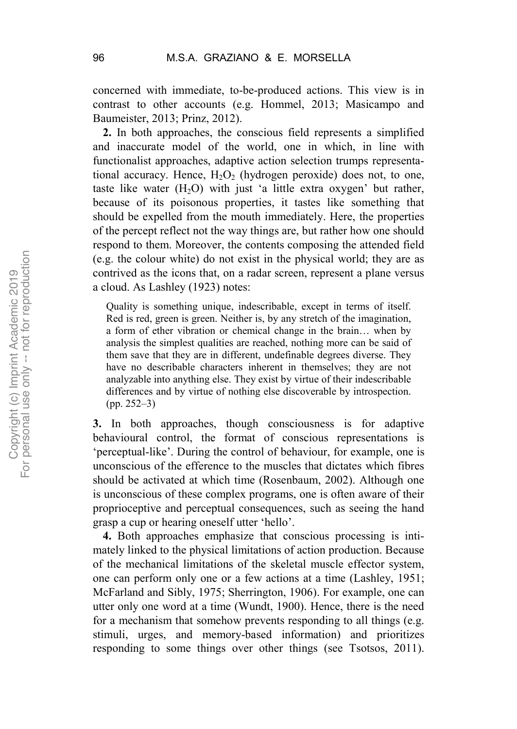concerned with immediate, to-be-produced actions. This view is in contrast to other accounts (e.g. Hommel, 2013; Masicampo and Baumeister, 2013; Prinz, 2012).

**2.** In both approaches, the conscious field represents a simplified and inaccurate model of the world, one in which, in line with functionalist approaches, adaptive action selection trumps representational accuracy. Hence,  $H_2O_2$  (hydrogen peroxide) does not, to one, taste like water  $(H<sub>2</sub>O)$  with just 'a little extra oxygen' but rather, because of its poisonous properties, it tastes like something that should be expelled from the mouth immediately. Here, the properties of the percept reflect not the way things are, but rather how one should respond to them. Moreover, the contents composing the attended field (e.g. the colour white) do not exist in the physical world; they are as contrived as the icons that, on a radar screen, represent a plane versus a cloud. As Lashley (1923) notes:

Quality is something unique, indescribable, except in terms of itself. Red is red, green is green. Neither is, by any stretch of the imagination, a form of ether vibration or chemical change in the brain… when by analysis the simplest qualities are reached, nothing more can be said of them save that they are in different, undefinable degrees diverse. They have no describable characters inherent in themselves; they are not analyzable into anything else. They exist by virtue of their indescribable differences and by virtue of nothing else discoverable by introspection. (pp. 252–3)

**3.** In both approaches, though consciousness is for adaptive behavioural control, the format of conscious representations is 'perceptual-like'. During the control of behaviour, for example, one is unconscious of the efference to the muscles that dictates which fibres should be activated at which time (Rosenbaum, 2002). Although one is unconscious of these complex programs, one is often aware of their proprioceptive and perceptual consequences, such as seeing the hand grasp a cup or hearing oneself utter 'hello'.

**4.** Both approaches emphasize that conscious processing is intimately linked to the physical limitations of action production. Because of the mechanical limitations of the skeletal muscle effector system, one can perform only one or a few actions at a time (Lashley, 1951; McFarland and Sibly, 1975; Sherrington, 1906). For example, one can utter only one word at a time (Wundt, 1900). Hence, there is the need for a mechanism that somehow prevents responding to all things (e.g. stimuli, urges, and memory-based information) and prioritizes responding to some things over other things (see Tsotsos, 2011).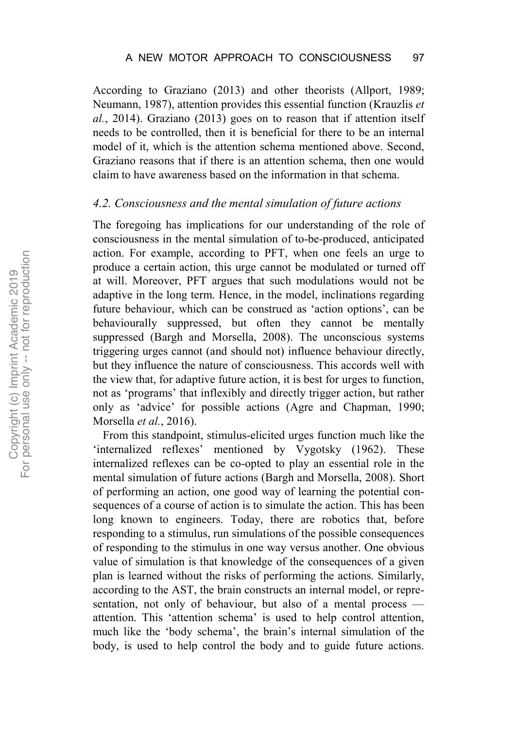According to Graziano (2013) and other theorists (Allport, 1989; Neumann, 1987), attention provides this essential function (Krauzlis *et al.*, 2014). Graziano (2013) goes on to reason that if attention itself needs to be controlled, then it is beneficial for there to be an internal model of it, which is the attention schema mentioned above. Second, Graziano reasons that if there is an attention schema, then one would claim to have awareness based on the information in that schema.

#### *4.2. Consciousness and the mental simulation of future actions*

The foregoing has implications for our understanding of the role of consciousness in the mental simulation of to-be-produced, anticipated action. For example, according to PFT, when one feels an urge to produce a certain action, this urge cannot be modulated or turned off at will. Moreover, PFT argues that such modulations would not be adaptive in the long term. Hence, in the model, inclinations regarding future behaviour, which can be construed as 'action options', can be behaviourally suppressed, but often they cannot be mentally suppressed (Bargh and Morsella, 2008). The unconscious systems triggering urges cannot (and should not) influence behaviour directly, but they influence the nature of consciousness. This accords well with the view that, for adaptive future action, it is best for urges to function, not as 'programs' that inflexibly and directly trigger action, but rather only as 'advice' for possible actions (Agre and Chapman, 1990; Morsella *et al.*, 2016).

From this standpoint, stimulus-elicited urges function much like the 'internalized reflexes' mentioned by Vygotsky (1962). These internalized reflexes can be co-opted to play an essential role in the mental simulation of future actions (Bargh and Morsella, 2008). Short of performing an action, one good way of learning the potential consequences of a course of action is to simulate the action. This has been long known to engineers. Today, there are robotics that, before responding to a stimulus, run simulations of the possible consequences of responding to the stimulus in one way versus another. One obvious value of simulation is that knowledge of the consequences of a given plan is learned without the risks of performing the actions. Similarly, according to the AST, the brain constructs an internal model, or representation, not only of behaviour, but also of a mental process attention. This 'attention schema' is used to help control attention, much like the 'body schema', the brain's internal simulation of the body, is used to help control the body and to guide future actions.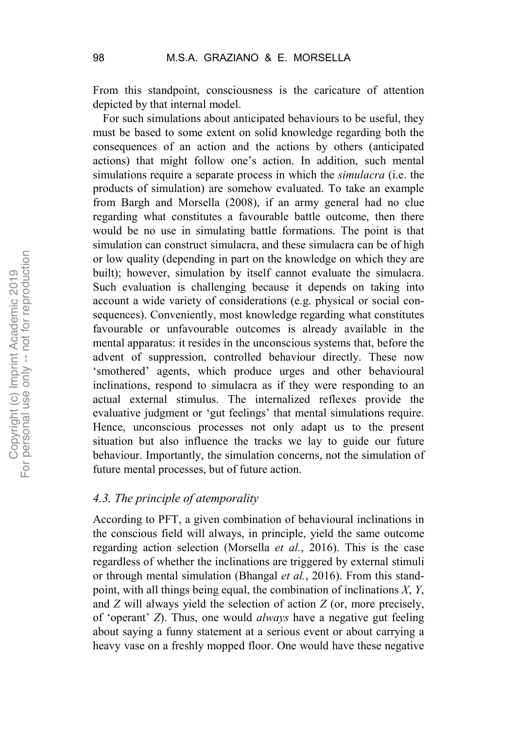From this standpoint, consciousness is the caricature of attention depicted by that internal model.

For such simulations about anticipated behaviours to be useful, they must be based to some extent on solid knowledge regarding both the consequences of an action and the actions by others (anticipated actions) that might follow one's action. In addition, such mental simulations require a separate process in which the *simulacra* (i.e. the products of simulation) are somehow evaluated. To take an example from Bargh and Morsella (2008), if an army general had no clue regarding what constitutes a favourable battle outcome, then there would be no use in simulating battle formations. The point is that simulation can construct simulacra, and these simulacra can be of high or low quality (depending in part on the knowledge on which they are built); however, simulation by itself cannot evaluate the simulacra. Such evaluation is challenging because it depends on taking into account a wide variety of considerations (e.g. physical or social consequences). Conveniently, most knowledge regarding what constitutes favourable or unfavourable outcomes is already available in the mental apparatus: it resides in the unconscious systems that, before the advent of suppression, controlled behaviour directly. These now 'smothered' agents, which produce urges and other behavioural inclinations, respond to simulacra as if they were responding to an actual external stimulus. The internalized reflexes provide the evaluative judgment or 'gut feelings' that mental simulations require. Hence, unconscious processes not only adapt us to the present situation but also influence the tracks we lay to guide our future behaviour. Importantly, the simulation concerns, not the simulation of future mental processes, but of future action.

## *4.3. The principle of atemporality*

According to PFT, a given combination of behavioural inclinations in the conscious field will always, in principle, yield the same outcome regarding action selection (Morsella *et al.*, 2016). This is the case regardless of whether the inclinations are triggered by external stimuli or through mental simulation (Bhangal *et al.*, 2016). From this standpoint, with all things being equal, the combination of inclinations *X*, *Y*, and *Z* will always yield the selection of action *Z* (or, more precisely, of 'operant' *Z*). Thus, one would *always* have a negative gut feeling about saying a funny statement at a serious event or about carrying a heavy vase on a freshly mopped floor. One would have these negative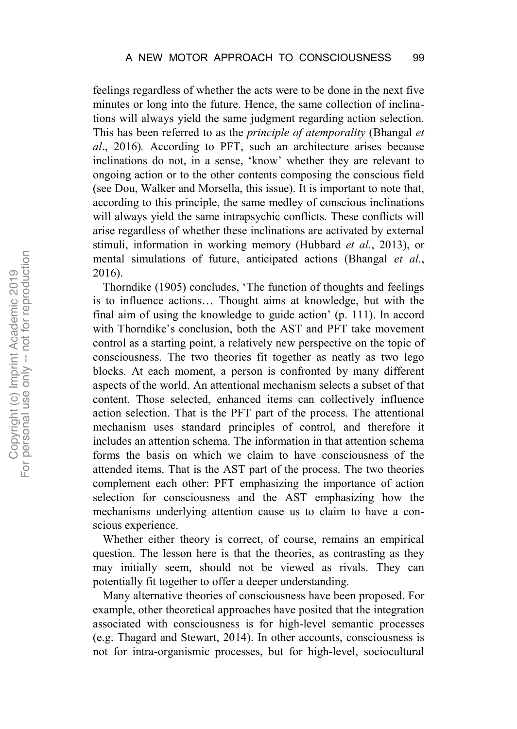feelings regardless of whether the acts were to be done in the next five minutes or long into the future. Hence, the same collection of inclinations will always yield the same judgment regarding action selection. This has been referred to as the *principle of atemporality* (Bhangal *et al*., 2016)*.* According to PFT, such an architecture arises because inclinations do not, in a sense, 'know' whether they are relevant to ongoing action or to the other contents composing the conscious field (see Dou, Walker and Morsella, this issue). It is important to note that, according to this principle, the same medley of conscious inclinations will always yield the same intrapsychic conflicts. These conflicts will arise regardless of whether these inclinations are activated by external stimuli, information in working memory (Hubbard *et al.*, 2013), or mental simulations of future, anticipated actions (Bhangal *et al.*, 2016).

Thorndike (1905) concludes, 'The function of thoughts and feelings is to influence actions… Thought aims at knowledge, but with the final aim of using the knowledge to guide action' (p. 111). In accord with Thorndike's conclusion, both the AST and PFT take movement control as a starting point, a relatively new perspective on the topic of consciousness. The two theories fit together as neatly as two lego blocks. At each moment, a person is confronted by many different aspects of the world. An attentional mechanism selects a subset of that content. Those selected, enhanced items can collectively influence action selection. That is the PFT part of the process. The attentional mechanism uses standard principles of control, and therefore it includes an attention schema. The information in that attention schema forms the basis on which we claim to have consciousness of the attended items. That is the AST part of the process. The two theories complement each other: PFT emphasizing the importance of action selection for consciousness and the AST emphasizing how the mechanisms underlying attention cause us to claim to have a conscious experience.

Whether either theory is correct, of course, remains an empirical question. The lesson here is that the theories, as contrasting as they may initially seem, should not be viewed as rivals. They can potentially fit together to offer a deeper understanding.

Many alternative theories of consciousness have been proposed. For example, other theoretical approaches have posited that the integration associated with consciousness is for high-level semantic processes (e.g. Thagard and Stewart, 2014). In other accounts, consciousness is not for intra-organismic processes, but for high-level, sociocultural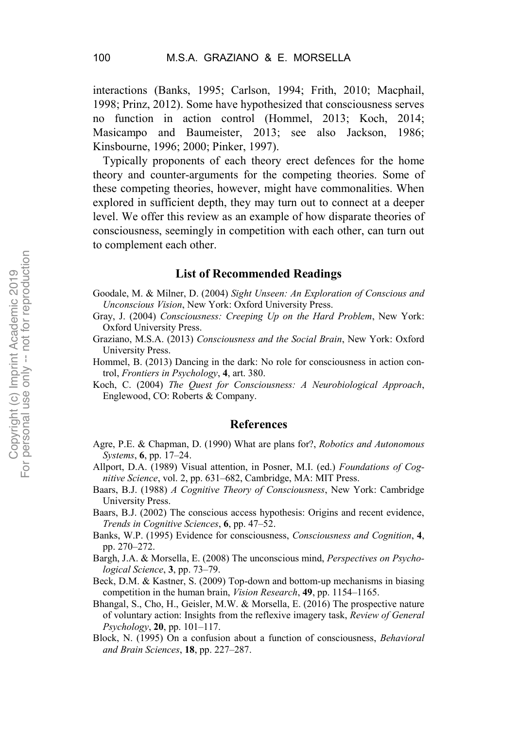interactions (Banks, 1995; Carlson, 1994; Frith, 2010; Macphail, 1998; Prinz, 2012). Some have hypothesized that consciousness serves no function in action control (Hommel, 2013; Koch, 2014; Masicampo and Baumeister, 2013; see also Jackson, 1986; Kinsbourne, 1996; 2000; Pinker, 1997).

Typically proponents of each theory erect defences for the home theory and counter-arguments for the competing theories. Some of these competing theories, however, might have commonalities. When explored in sufficient depth, they may turn out to connect at a deeper level. We offer this review as an example of how disparate theories of consciousness, seemingly in competition with each other, can turn out to complement each other.

### **List of Recommended Readings**

Goodale, M. & Milner, D. (2004) *Sight Unseen: An Exploration of Conscious and Unconscious Vision*, New York: Oxford University Press.

- Gray, J. (2004) *Consciousness: Creeping Up on the Hard Problem*, New York: Oxford University Press.
- Graziano, M.S.A. (2013) *Consciousness and the Social Brain*, New York: Oxford University Press.
- Hommel, B. (2013) Dancing in the dark: No role for consciousness in action control, *Frontiers in Psychology*, **4**, art. 380.
- Koch, C. (2004) *The Quest for Consciousness: A Neurobiological Approach*, Englewood, CO: Roberts & Company.

#### **References**

- Agre, P.E. & Chapman, D. (1990) What are plans for?, *Robotics and Autonomous Systems*, **6**, pp. 17–24.
- Allport, D.A. (1989) Visual attention, in Posner, M.I. (ed.) *Foundations of Cognitive Science*, vol. 2, pp. 631–682, Cambridge, MA: MIT Press.
- Baars, B.J. (1988) *A Cognitive Theory of Consciousness*, New York: Cambridge University Press.
- Baars, B.J. (2002) The conscious access hypothesis: Origins and recent evidence, *Trends in Cognitive Sciences*, **6**, pp. 47–52.
- Banks, W.P. (1995) Evidence for consciousness, *Consciousness and Cognition*, **4**, pp. 270–272.
- Bargh, J.A. & Morsella, E. (2008) The unconscious mind, *Perspectives on Psychological Science*, **3**, pp. 73–79.

Beck, D.M. & Kastner, S. (2009) Top-down and bottom-up mechanisms in biasing competition in the human brain, *Vision Research*, **49**, pp. 1154–1165.

Bhangal, S., Cho, H., Geisler, M.W. & Morsella, E. (2016) The prospective nature of voluntary action: Insights from the reflexive imagery task, *Review of General Psychology*, **20**, pp. 101–117.

Block, N. (1995) On a confusion about a function of consciousness, *Behavioral and Brain Sciences*, **18**, pp. 227–287.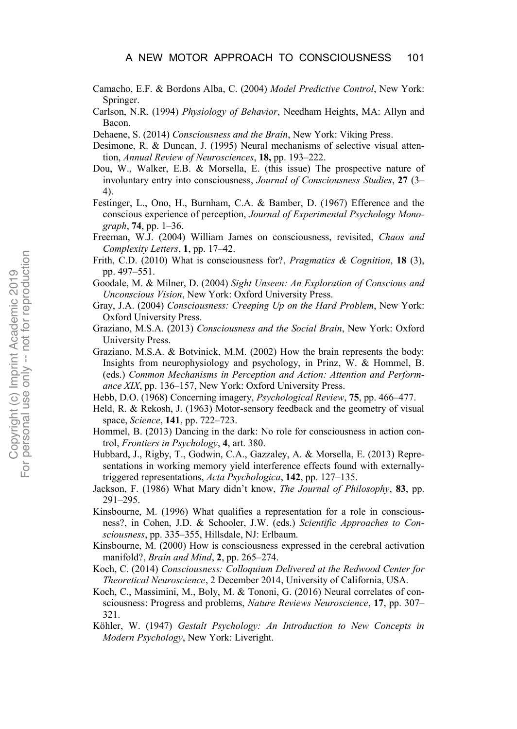- Camacho, E.F. & Bordons Alba, C. (2004) *Model Predictive Control*, New York: Springer.
- Carlson, N.R. (1994) *Physiology of Behavior*, Needham Heights, MA: Allyn and Bacon.
- Dehaene, S. (2014) *Consciousness and the Brain*, New York: Viking Press.
- Desimone, R. & Duncan, J. (1995) Neural mechanisms of selective visual attention, *Annual Review of Neurosciences*, **18,** pp. 193–222.
- Dou, W., Walker, E.B. & Morsella, E. (this issue) The prospective nature of involuntary entry into consciousness, *Journal of Consciousness Studies*, **27** (3– 4).
- Festinger, L., Ono, H., Burnham, C.A. & Bamber, D. (1967) Efference and the conscious experience of perception, *Journal of Experimental Psychology Monograph*, **74**, pp. 1–36.
- Freeman, W.J. (2004) William James on consciousness, revisited, *Chaos and Complexity Letters*, **1**, pp. 17–42.
- Frith, C.D. (2010) What is consciousness for?, *Pragmatics & Cognition*, **18** (3), pp. 497–551.
- Goodale, M. & Milner, D. (2004) *Sight Unseen: An Exploration of Conscious and Unconscious Vision*, New York: Oxford University Press.
- Gray, J.A. (2004) *Consciousness: Creeping Up on the Hard Problem*, New York: Oxford University Press.
- Graziano, M.S.A. (2013) *Consciousness and the Social Brain*, New York: Oxford University Press.
- Graziano, M.S.A. & Botvinick, M.M. (2002) How the brain represents the body: Insights from neurophysiology and psychology, in Prinz, W. & Hommel, B. (eds.) *Common Mechanisms in Perception and Action: Attention and Performance XIX*, pp. 136–157, New York: Oxford University Press.
- Hebb, D.O. (1968) Concerning imagery, *Psychological Review*, **75**, pp. 466–477.
- Held, R. & Rekosh, J. (1963) Motor-sensory feedback and the geometry of visual space, *Science*, **141**, pp. 722–723.
- Hommel, B. (2013) Dancing in the dark: No role for consciousness in action control, *Frontiers in Psychology*, **4**, art. 380.
- Hubbard, J., Rigby, T., Godwin, C.A., Gazzaley, A. & Morsella, E. (2013) Representations in working memory yield interference effects found with externallytriggered representations, *Acta Psychologica*, **142**, pp. 127–135.
- Jackson, F. (1986) What Mary didn't know, *The Journal of Philosophy*, **83**, pp. 291–295.
- Kinsbourne, M. (1996) What qualifies a representation for a role in consciousness?, in Cohen, J.D. & Schooler, J.W. (eds.) *Scientific Approaches to Consciousness*, pp. 335–355, Hillsdale, NJ: Erlbaum.
- Kinsbourne, M. (2000) How is consciousness expressed in the cerebral activation manifold?, *Brain and Mind*, **2**, pp. 265–274.
- Koch, C. (2014) *Consciousness: Colloquium Delivered at the Redwood Center for Theoretical Neuroscience*, 2 December 2014, University of California, USA.
- Koch, C., Massimini, M., Boly, M. & Tononi, G. (2016) Neural correlates of consciousness: Progress and problems, *Nature Reviews Neuroscience*, **17**, pp. 307– 321.
- Köhler, W. (1947) *Gestalt Psychology: An Introduction to New Concepts in Modern Psychology*, New York: Liveright.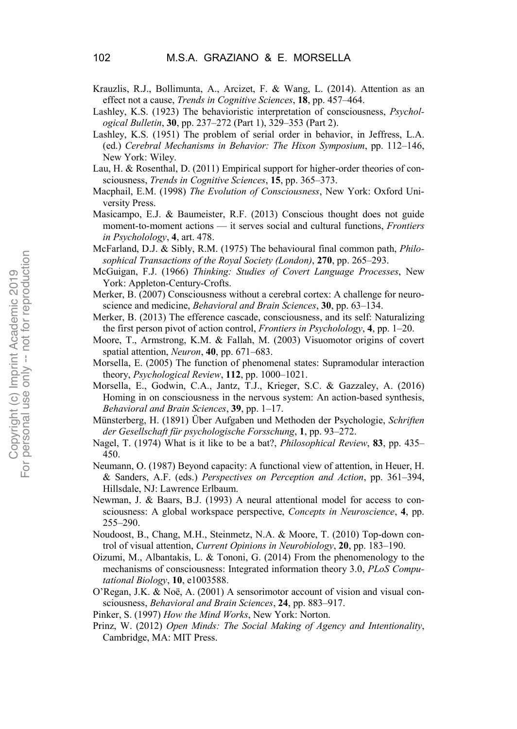- Krauzlis, R.J., Bollimunta, A., Arcizet, F. & Wang, L. (2014). Attention as an effect not a cause, *Trends in Cognitive Sciences*, **18**, pp. 457–464.
- Lashley, K.S. (1923) The behavioristic interpretation of consciousness, *Psychological Bulletin*, **30**, pp. 237–272 (Part 1), 329–353 (Part 2).
- Lashley, K.S. (1951) The problem of serial order in behavior, in Jeffress, L.A. (ed.) *Cerebral Mechanisms in Behavior: The Hixon Symposium*, pp. 112–146, New York: Wiley.
- Lau, H. & Rosenthal, D. (2011) Empirical support for higher-order theories of consciousness, *Trends in Cognitive Sciences*, **15**, pp. 365–373.
- Macphail, E.M. (1998) *The Evolution of Consciousness*, New York: Oxford University Press.
- Masicampo, E.J. & Baumeister, R.F. (2013) Conscious thought does not guide moment-to-moment actions — it serves social and cultural functions, *Frontiers in Psycholology*, **4**, art. 478.
- McFarland, D.J. & Sibly, R.M. (1975) The behavioural final common path, *Philosophical Transactions of the Royal Society (London)*, **270**, pp. 265–293.
- McGuigan, F.J. (1966) *Thinking: Studies of Covert Language Processes*, New York: Appleton-Century-Crofts.
- Merker, B. (2007) Consciousness without a cerebral cortex: A challenge for neuroscience and medicine, *Behavioral and Brain Sciences*, **30**, pp. 63–134.
- Merker, B. (2013) The efference cascade, consciousness, and its self: Naturalizing the first person pivot of action control, *Frontiers in Psycholology*, **4**, pp. 1–20.
- Moore, T., Armstrong, K.M. & Fallah, M. (2003) Visuomotor origins of covert spatial attention, *Neuron*, **40**, pp. 671–683.
- Morsella, E. (2005) The function of phenomenal states: Supramodular interaction theory, *Psychological Review*, **112**, pp. 1000–1021.
- Morsella, E., Godwin, C.A., Jantz, T.J., Krieger, S.C. & Gazzaley, A. (2016) Homing in on consciousness in the nervous system: An action-based synthesis, *Behavioral and Brain Sciences*, **39**, pp. 1–17.
- Münsterberg, H. (1891) Über Aufgaben und Methoden der Psychologie, *Schriften der Gesellschaft für psychologische Forsschung*, **1**, pp. 93–272.
- Nagel, T. (1974) What is it like to be a bat?, *Philosophical Review*, **83**, pp. 435– 450.
- Neumann, O. (1987) Beyond capacity: A functional view of attention, in Heuer, H. & Sanders, A.F. (eds.) *Perspectives on Perception and Action*, pp. 361–394, Hillsdale, NJ: Lawrence Erlbaum.
- Newman, J. & Baars, B.J. (1993) A neural attentional model for access to consciousness: A global workspace perspective, *Concepts in Neuroscience*, **4**, pp. 255–290.
- Noudoost, B., Chang, M.H., Steinmetz, N.A. & Moore, T. (2010) Top-down control of visual attention, *Current Opinions in Neurobiology*, **20**, pp. 183–190.
- Oizumi, M., Albantakis, L. & Tononi, G. (2014) From the phenomenology to the mechanisms of consciousness: Integrated information theory 3.0, *PLoS Computational Biology*, **10**, e1003588.
- O'Regan, J.K. & Noë, A. (2001) A sensorimotor account of vision and visual consciousness, *Behavioral and Brain Sciences*, **24**, pp. 883–917.
- Pinker, S. (1997) *How the Mind Works*, New York: Norton.
- Prinz, W. (2012) *Open Minds: The Social Making of Agency and Intentionality*, Cambridge, MA: MIT Press.